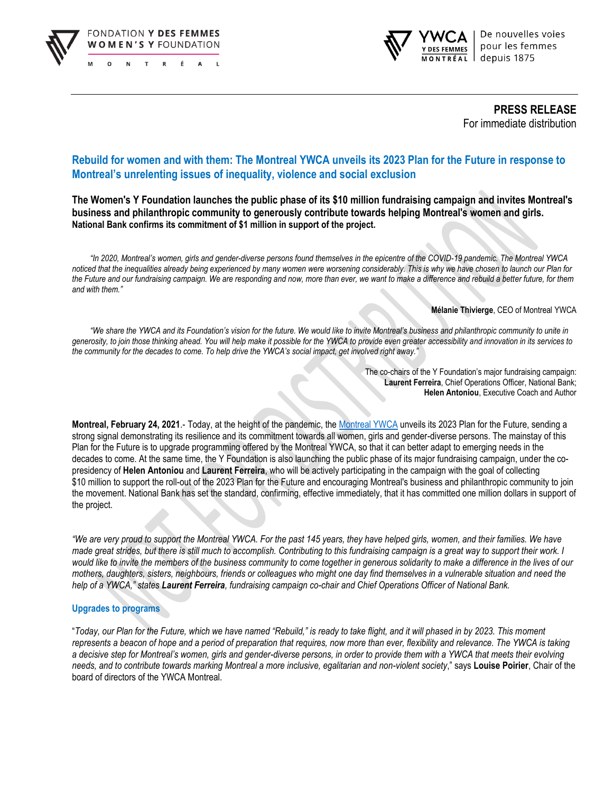



**PRESS RELEASE** For immediate distribution

# **Rebuild for women and with them: The Montreal YWCA unveils its 2023 Plan for the Future in response to Montreal's unrelenting issues of inequality, violence and social exclusion**

**The Women's Y Foundation launches the public phase of its \$10 million fundraising campaign and invites Montreal's business and philanthropic community to generously contribute towards helping Montreal's women and girls. National Bank confirms its commitment of \$1 million in support of the project.**

*"In 2020, Montreal's women, girls and gender-diverse persons found themselves in the epicentre of the COVID-19 pandemic. The Montreal YWCA noticed that the inequalities already being experienced by many women were worsening considerably. This is why we have chosen to launch our Plan for the Future and our fundraising campaign. We are responding and now, more than ever, we want to make a difference and rebuild a better future, for them and with them."*

#### **Mélanie Thivierge**, CEO of Montreal YWCA

*"We share the YWCA and its Foundation's vision for the future. We would like to invite Montreal's business and philanthropic community to unite in generosity, to join those thinking ahead. You will help make it possible for the YWCA to provide even greater accessibility and innovation in its services to the community for the decades to come. To help drive the YWCA's social impact, get involved right away."*

> The co-chairs of the Y Foundation's major fundraising campaign: **Laurent Ferreira**, Chief Operations Officer, National Bank; **Helen Antoniou**, Executive Coach and Author

**Montreal, February 24, 2021**.- Today, at the height of the pandemic, the [Montreal YWCA](https://www.ydesfemmesmtl.org/) unveils its 2023 Plan for the Future, sending a strong signal demonstrating its resilience and its commitment towards all women, girls and gender-diverse persons. The mainstay of this Plan for the Future is to upgrade programming offered by the Montreal YWCA, so that it can better adapt to emerging needs in the decades to come. At the same time, the Y Foundation is also launching the public phase of its major fundraising campaign, under the copresidency of **Helen Antoniou** and **Laurent Ferreira**, who will be actively participating in the campaign with the goal of collecting \$10 million to support the roll-out of the 2023 Plan for the Future and encouraging Montreal's business and philanthropic community to join the movement. National Bank has set the standard, confirming, effective immediately, that it has committed one million dollars in support of the project.

*"We are very proud to support the Montreal YWCA. For the past 145 years, they have helped girls, women, and their families. We have made great strides, but there is still much to accomplish. Contributing to this fundraising campaign is a great way to support their work. I would like to invite the members of the business community to come together in generous solidarity to make a difference in the lives of our mothers, daughters, sisters, neighbours, friends or colleagues who might one day find themselves in a vulnerable situation and need the help of a YWCA," states Laurent Ferreira, fundraising campaign co-chair and Chief Operations Officer of National Bank.*

#### **Upgrades to programs**

"*Today, our Plan for the Future, which we have named "Rebuild," is ready to take flight, and it will phased in by 2023. This moment represents a beacon of hope and a period of preparation that requires, now more than ever, flexibility and relevance. The YWCA is taking a decisive step for Montreal's women, girls and gender-diverse persons, in order to provide them with a YWCA that meets their evolving needs, and to contribute towards marking Montreal a more inclusive, egalitarian and non-violent society*," says **Louise Poirier**, Chair of the board of directors of the YWCA Montreal.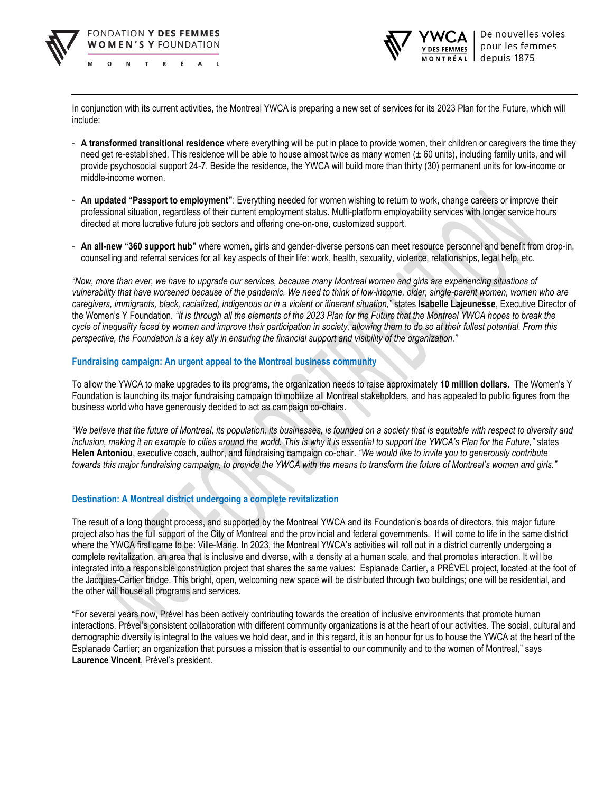



In conjunction with its current activities, the Montreal YWCA is preparing a new set of services for its 2023 Plan for the Future, which will include:

- **A transformed transitional residence** where everything will be put in place to provide women, their children or caregivers the time they need get re-established. This residence will be able to house almost twice as many women (± 60 units), including family units, and will provide psychosocial support 24-7. Beside the residence, the YWCA will build more than thirty (30) permanent units for low-income or middle-income women.
- **An updated "Passport to employment"**: Everything needed for women wishing to return to work, change careers or improve their professional situation, regardless of their current employment status. Multi-platform employability services with longer service hours directed at more lucrative future job sectors and offering one-on-one, customized support.
- **An all-new "360 support hub"** where women, girls and gender-diverse persons can meet resource personnel and benefit from drop-in, counselling and referral services for all key aspects of their life: work, health, sexuality, violence, relationships, legal help, etc.

*"Now, more than ever, we have to upgrade our services, because many Montreal women and girls are experiencing situations of vulnerability that have worsened because of the pandemic. We need to think of low-income, older, single-parent women, women who are caregivers, immigrants, black, racialized, indigenous or in a violent or itinerant situation,"* states **Isabelle Lajeunesse**, Executive Director of the Women's Y Foundation*. "It is through all the elements of the 2023 Plan for the Future that the Montreal YWCA hopes to break the cycle of inequality faced by women and improve their participation in society, allowing them to do so at their fullest potential. From this perspective, the Foundation is a key ally in ensuring the financial support and visibility of the organization."*

## **Fundraising campaign: An urgent appeal to the Montreal business community**

To allow the YWCA to make upgrades to its programs, the organization needs to raise approximately **10 million dollars.** The Women's Y Foundation is launching its major fundraising campaign to mobilize all Montreal stakeholders, and has appealed to public figures from the business world who have generously decided to act as campaign co-chairs.

*"We believe that the future of Montreal, its population, its businesses, is founded on a society that is equitable with respect to diversity and inclusion, making it an example to cities around the world. This is why it is essential to support the YWCA's Plan for the Future,"* states **Helen Antoniou**, executive coach, author, and fundraising campaign co-chair. *"We would like to invite you to generously contribute towards this major fundraising campaign, to provide the YWCA with the means to transform the future of Montreal's women and girls."*

# **Destination: A Montreal district undergoing a complete revitalization**

The result of a long thought process, and supported by the Montreal YWCA and its Foundation's boards of directors, this major future project also has the full support of the City of Montreal and the provincial and federal governments. It will come to life in the same district where the YWCA first came to be: Ville-Marie. In 2023, the Montreal YWCA's activities will roll out in a district currently undergoing a complete revitalization, an area that is inclusive and diverse, with a density at a human scale, and that promotes interaction. It will be integrated into a responsible construction project that shares the same values: Esplanade Cartier, a PRÉVEL project, located at the foot of the Jacques-Cartier bridge. This bright, open, welcoming new space will be distributed through two buildings; one will be residential, and the other will house all programs and services.

"For several years now, Prével has been actively contributing towards the creation of inclusive environments that promote human interactions. Prével's consistent collaboration with different community organizations is at the heart of our activities. The social, cultural and demographic diversity is integral to the values we hold dear, and in this regard, it is an honour for us to house the YWCA at the heart of the Esplanade Cartier; an organization that pursues a mission that is essential to our community and to the women of Montreal," says **Laurence Vincent**, Prével's president.